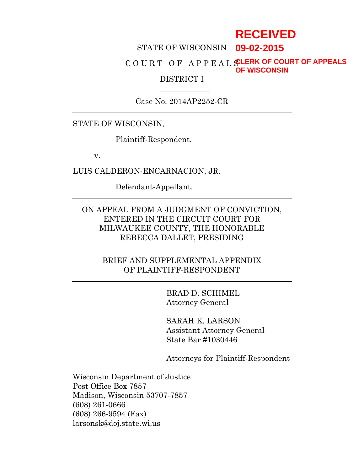# **RECEIVED**

# STATE OF WISCONSIN **09-02-2015**

#### C O U R T O F A P P E A L S **CLERK OF COURT OF APPEALS OF WISCONSIN**

#### DISTRICT I

Case No. 2014AP2252-CR

STATE OF WISCONSIN,

Plaintiff-Respondent,

v.

LUIS CALDERON-ENCARNACION, JR.

Defendant-Appellant.

ON APPEAL FROM A JUDGMENT OF CONVICTION, ENTERED IN THE CIRCUIT COURT FOR MILWAUKEE COUNTY, THE HONORABLE REBECCA DALLET, PRESIDING

## BRIEF AND SUPPLEMENTAL APPENDIX OF PLAINTIFF-RESPONDENT

BRAD D. SCHIMEL Attorney General

SARAH K. LARSON Assistant Attorney General State Bar #1030446

Attorneys for Plaintiff-Respondent

Wisconsin Department of Justice Post Office Box 7857 Madison, Wisconsin 53707-7857 (608) 261-0666 (608) 266-9594 (Fax) larsonsk@doj.state.wi.us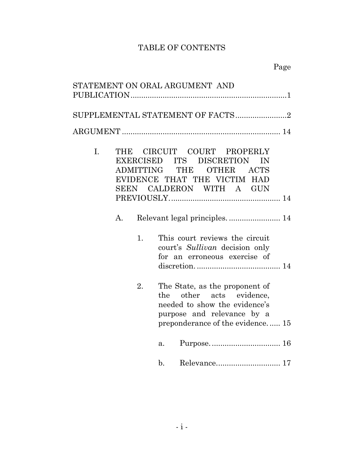# TABLE OF CONTENTS

| STATEMENT ON ORAL ARGUMENT AND |                |                                                                                                                                                           |
|--------------------------------|----------------|-----------------------------------------------------------------------------------------------------------------------------------------------------------|
|                                |                | SUPPLEMENTAL STATEMENT OF FACTS 2                                                                                                                         |
|                                |                |                                                                                                                                                           |
| I.<br>THE                      |                | CIRCUIT COURT PROPERLY<br>EXERCISED ITS DISCRETION<br>IN<br>ADMITTING THE OTHER ACTS<br>EVIDENCE THAT THE VICTIM HAD<br>SEEN CALDERON WITH A GUN          |
| A.                             |                |                                                                                                                                                           |
|                                | 1.             | This court reviews the circuit<br>court's Sullivan decision only<br>for an erroneous exercise of                                                          |
| 2.                             | the            | The State, as the proponent of<br>other acts evidence,<br>needed to show the evidence's<br>purpose and relevance by a<br>preponderance of the evidence 15 |
|                                | a.             |                                                                                                                                                           |
|                                | $\mathbf{b}$ . |                                                                                                                                                           |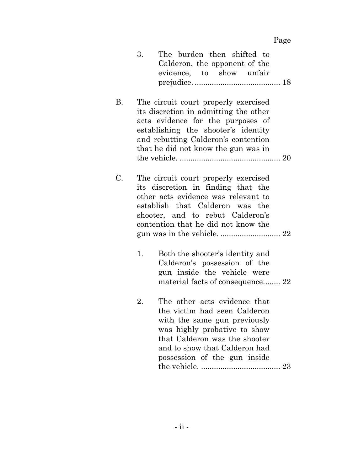Page

|    | 3. | The burden then shifted to<br>Calderon, the opponent of the<br>evidence, to show unfair                                                                                                                                                 |  |
|----|----|-----------------------------------------------------------------------------------------------------------------------------------------------------------------------------------------------------------------------------------------|--|
| В. |    | The circuit court properly exercised<br>its discretion in admitting the other<br>acts evidence for the purposes of<br>establishing the shooter's identity<br>and rebutting Calderon's contention<br>that he did not know the gun was in |  |
| C. |    | The circuit court properly exercised<br>its discretion in finding that the<br>other acts evidence was relevant to<br>establish that Calderon was the<br>shooter, and to rebut Calderon's<br>contention that he did not know the         |  |
|    | 1. | Both the shooter's identity and<br>Calderon's possession of the<br>gun inside the vehicle were<br>material facts of consequence 22                                                                                                      |  |
|    | 2. | The other acts evidence that<br>the victim had seen Calderon<br>with the same gun previously<br>was highly probative to show<br>that Calderon was the shooter<br>and to show that Calderon had<br>possession of the gun inside          |  |
|    |    |                                                                                                                                                                                                                                         |  |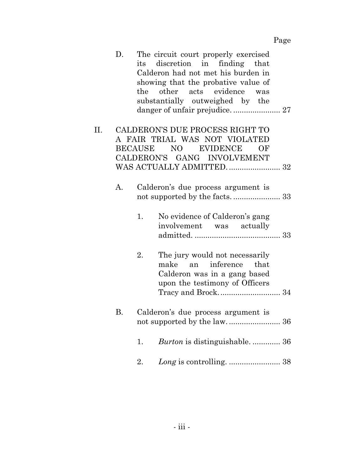|    | D. |    | The circuit court properly exercised<br>its discretion in finding that<br>Calderon had not met his burden in<br>showing that the probative value of<br>the other acts evidence was<br>substantially outweighed by the |
|----|----|----|-----------------------------------------------------------------------------------------------------------------------------------------------------------------------------------------------------------------------|
| П. |    |    | CALDERON'S DUE PROCESS RIGHT TO<br>A FAIR TRIAL WAS NOT VIOLATED<br>BECAUSE NO EVIDENCE OF<br>CALDERON'S GANG INVOLVEMENT<br>WAS ACTUALLY ADMITTED.  32                                                               |
|    | A. |    | Calderon's due process argument is                                                                                                                                                                                    |
|    |    | 1. | No evidence of Calderon's gang<br>involvement was actually                                                                                                                                                            |
|    |    | 2. | The jury would not necessarily<br>an inference<br>make<br>that<br>Calderon was in a gang based<br>upon the testimony of Officers                                                                                      |
|    | В. |    | Calderon's due process argument is                                                                                                                                                                                    |
|    |    | 1. | <i>Burton</i> is distinguishable 36                                                                                                                                                                                   |
|    |    | 2. |                                                                                                                                                                                                                       |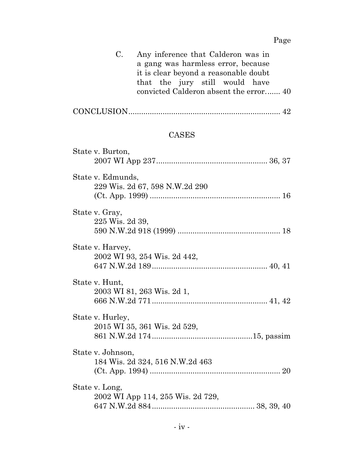# Page

| C. Any inference that Calderon was in  |
|----------------------------------------|
| a gang was harmless error, because     |
| it is clear beyond a reasonable doubt  |
| that the jury still would have         |
| convicted Calderon absent the error 40 |
|                                        |

|--|--|

# CASES

| State v. Burton,                                     |
|------------------------------------------------------|
| State v. Edmunds,<br>229 Wis. 2d 67, 598 N.W.2d 290  |
| State v. Gray,<br>225 Wis. 2d 39,                    |
| State v. Harvey,<br>2002 WI 93, 254 Wis. 2d 442,     |
| State v. Hunt,<br>2003 WI 81, 263 Wis. 2d 1,         |
| State v. Hurley,<br>2015 WI 35, 361 Wis. 2d 529,     |
| State v. Johnson,<br>184 Wis. 2d 324, 516 N.W.2d 463 |
| State v. Long,<br>2002 WI App 114, 255 Wis. 2d 729,  |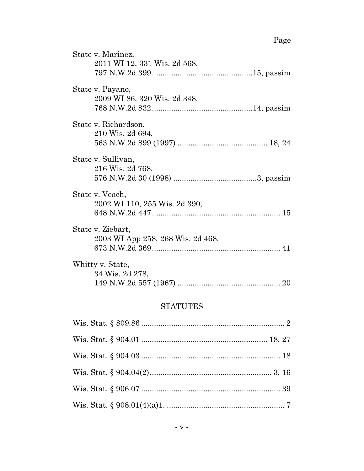| State v. Marinez,                 |
|-----------------------------------|
| 2011 WI 12, 331 Wis. 2d 568,      |
|                                   |
| State v. Payano,                  |
| 2009 WI 86, 320 Wis. 2d 348,      |
|                                   |
|                                   |
| State v. Richardson,              |
| 210 Wis. 2d 694,                  |
|                                   |
|                                   |
| State v. Sullivan,                |
| 216 Wis. 2d 768,                  |
|                                   |
|                                   |
| State v. Veach,                   |
| 2002 WI 110, 255 Wis. 2d 390,     |
|                                   |
| State v. Ziebart,                 |
| 2003 WI App 258, 268 Wis. 2d 468, |
|                                   |
|                                   |
| Whitty v. State,                  |
| 34 Wis. 2d 278,                   |
|                                   |

# **STATUTES**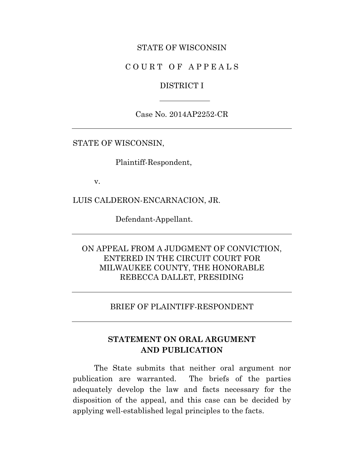#### STATE OF WISCONSIN

## COURT OF APPEALS

#### DISTRICT I

Case No. 2014AP2252-CR

STATE OF WISCONSIN,

Plaintiff-Respondent,

v.

LUIS CALDERON-ENCARNACION, JR.

Defendant-Appellant.

# ON APPEAL FROM A JUDGMENT OF CONVICTION, ENTERED IN THE CIRCUIT COURT FOR MILWAUKEE COUNTY, THE HONORABLE REBECCA DALLET, PRESIDING

#### BRIEF OF PLAINTIFF-RESPONDENT

# **STATEMENT ON ORAL ARGUMENT AND PUBLICATION**

The State submits that neither oral argument nor publication are warranted. The briefs of the parties adequately develop the law and facts necessary for the disposition of the appeal, and this case can be decided by applying well-established legal principles to the facts.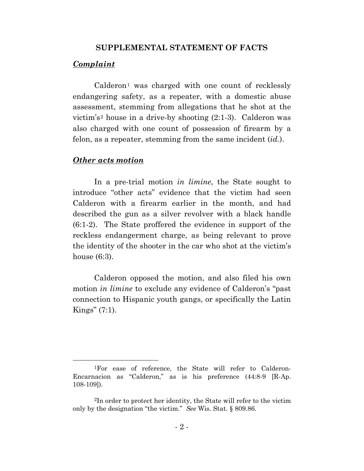#### *Complaint*

 $Calderon<sup>1</sup>$  $Calderon<sup>1</sup>$  $Calderon<sup>1</sup>$  was charged with one count of recklessly endangering safety, as a repeater, with a domestic abuse assessment, stemming from allegations that he shot at the victim's<sup>[2](#page-7-1)</sup> house in a drive-by shooting  $(2:1-3)$ . Calderon was also charged with one count of possession of firearm by a felon, as a repeater, stemming from the same incident (*id.*).

#### *Other acts motion*

In a pre-trial motion *in limine*, the State sought to introduce "other acts" evidence that the victim had seen Calderon with a firearm earlier in the month, and had described the gun as a silver revolver with a black handle (6:1-2). The State proffered the evidence in support of the reckless endangerment charge, as being relevant to prove the identity of the shooter in the car who shot at the victim's house (6:3).

Calderon opposed the motion, and also filed his own motion *in limine* to exclude any evidence of Calderon's "past connection to Hispanic youth gangs, or specifically the Latin Kings"  $(7:1)$ .

<span id="page-7-1"></span><span id="page-7-0"></span> <sup>1</sup>For ease of reference, the State will refer to Calderon-Encarnacion as "Calderon," as is his preference (44:8-9 [R-Ap. 108-109]).

<sup>2</sup>In order to protect her identity, the State will refer to the victim only by the designation "the victim." *See* Wis. Stat. § 809.86.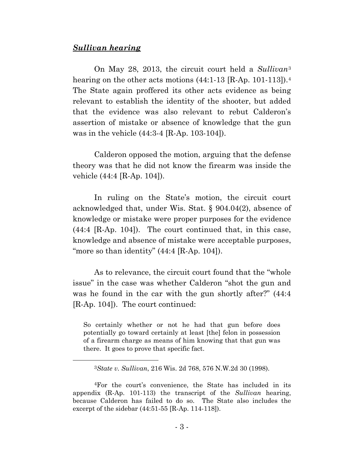#### *Sullivan hearing*

On May 28, 2013, the circuit court held a *Sullivan*[3](#page-8-0) hearing on the other acts motions (44:1-13 [R-Ap. 101-113]).<sup>4</sup> The State again proffered its other acts evidence as being relevant to establish the identity of the shooter, but added that the evidence was also relevant to rebut Calderon's assertion of mistake or absence of knowledge that the gun was in the vehicle (44:3-4 [R-Ap. 103-104]).

Calderon opposed the motion, arguing that the defense theory was that he did not know the firearm was inside the vehicle (44:4 [R-Ap. 104]).

In ruling on the State's motion, the circuit court acknowledged that, under Wis. Stat. § 904.04(2), absence of knowledge or mistake were proper purposes for the evidence (44:4 [R-Ap. 104]). The court continued that, in this case, knowledge and absence of mistake were acceptable purposes, "more so than identity" (44:4 [R-Ap. 104]).

As to relevance, the circuit court found that the "whole issue" in the case was whether Calderon "shot the gun and was he found in the car with the gun shortly after?" (44:4 [R-Ap. 104]). The court continued:

So certainly whether or not he had that gun before does potentially go toward certainly at least [the] felon in possession of a firearm charge as means of him knowing that that gun was there. It goes to prove that specific fact.

 <sup>3</sup>*State v. Sullivan*, 216 Wis. 2d 768, 576 N.W.2d 30 (1998).

<span id="page-8-1"></span><span id="page-8-0"></span><sup>4</sup>For the court's convenience, the State has included in its appendix (R-Ap. 101-113) the transcript of the *Sullivan* hearing, because Calderon has failed to do so. The State also includes the excerpt of the sidebar (44:51-55 [R-Ap. 114-118]).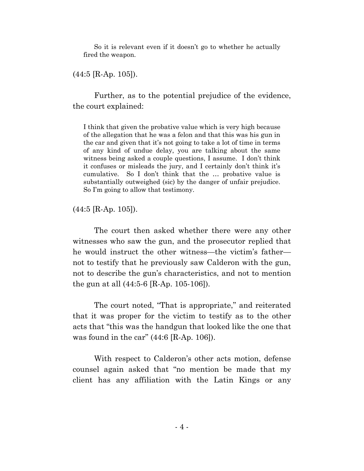So it is relevant even if it doesn't go to whether he actually fired the weapon.

 $(44:5$  [R-Ap. 105]).

Further, as to the potential prejudice of the evidence, the court explained:

I think that given the probative value which is very high because of the allegation that he was a felon and that this was his gun in the car and given that it's not going to take a lot of time in terms of any kind of undue delay, you are talking about the same witness being asked a couple questions, I assume. I don't think it confuses or misleads the jury, and I certainly don't think it's cumulative. So I don't think that the … probative value is substantially outweighed (sic) by the danger of unfair prejudice. So I'm going to allow that testimony.

(44:5 [R-Ap. 105]).

The court then asked whether there were any other witnesses who saw the gun, and the prosecutor replied that he would instruct the other witness—the victim's father not to testify that he previously saw Calderon with the gun, not to describe the gun's characteristics, and not to mention the gun at all (44:5-6 [R-Ap. 105-106]).

The court noted, "That is appropriate," and reiterated that it was proper for the victim to testify as to the other acts that "this was the handgun that looked like the one that was found in the car" (44:6 [R-Ap. 106]).

With respect to Calderon's other acts motion, defense counsel again asked that "no mention be made that my client has any affiliation with the Latin Kings or any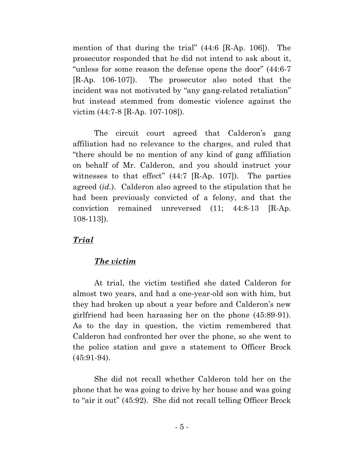mention of that during the trial" (44:6 [R-Ap. 106]). The prosecutor responded that he did not intend to ask about it, "unless for some reason the defense opens the door" (44:6-7 [R-Ap. 106-107]). The prosecutor also noted that the incident was not motivated by "any gang-related retaliation" but instead stemmed from domestic violence against the victim (44:7-8 [R-Ap. 107-108]).

The circuit court agreed that Calderon's gang affiliation had no relevance to the charges, and ruled that "there should be no mention of any kind of gang affiliation on behalf of Mr. Calderon, and you should instruct your witnesses to that effect" (44:7 [R-Ap. 107]). The parties agreed (*id.*). Calderon also agreed to the stipulation that he had been previously convicted of a felony, and that the conviction remained unreversed (11; 44:8-13 [R-Ap. 108-113]).

# *Trial*

## *The victim*

At trial, the victim testified she dated Calderon for almost two years, and had a one-year-old son with him, but they had broken up about a year before and Calderon's new girlfriend had been harassing her on the phone (45:89-91). As to the day in question, the victim remembered that Calderon had confronted her over the phone, so she went to the police station and gave a statement to Officer Brock (45:91-94).

She did not recall whether Calderon told her on the phone that he was going to drive by her house and was going to "air it out" (45:92). She did not recall telling Officer Brock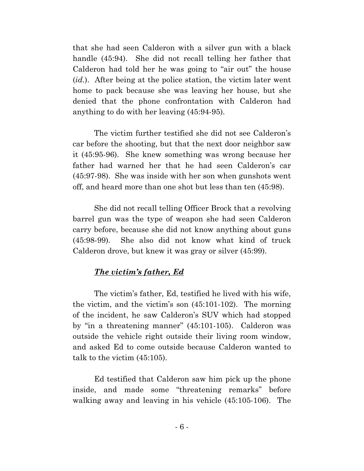that she had seen Calderon with a silver gun with a black handle (45:94). She did not recall telling her father that Calderon had told her he was going to "air out" the house (*id.*). After being at the police station, the victim later went home to pack because she was leaving her house, but she denied that the phone confrontation with Calderon had anything to do with her leaving (45:94-95).

The victim further testified she did not see Calderon's car before the shooting, but that the next door neighbor saw it (45:95-96). She knew something was wrong because her father had warned her that he had seen Calderon's car (45:97-98). She was inside with her son when gunshots went off, and heard more than one shot but less than ten (45:98).

She did not recall telling Officer Brock that a revolving barrel gun was the type of weapon she had seen Calderon carry before, because she did not know anything about guns (45:98-99). She also did not know what kind of truck Calderon drove, but knew it was gray or silver (45:99).

## *The victim's father, Ed*

The victim's father, Ed, testified he lived with his wife, the victim, and the victim's son (45:101-102). The morning of the incident, he saw Calderon's SUV which had stopped by "in a threatening manner" (45:101-105). Calderon was outside the vehicle right outside their living room window, and asked Ed to come outside because Calderon wanted to talk to the victim (45:105).

Ed testified that Calderon saw him pick up the phone inside, and made some "threatening remarks" before walking away and leaving in his vehicle (45:105-106). The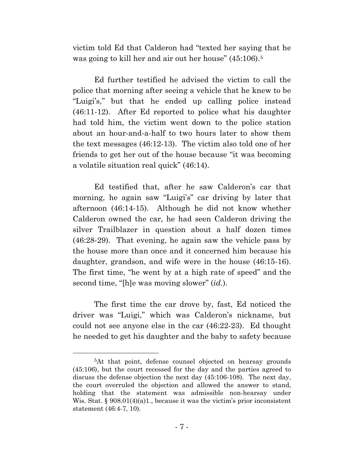victim told Ed that Calderon had "texted her saying that he was going to kill her and air out her house" (4[5](#page-13-0):106).<sup>5</sup>

Ed further testified he advised the victim to call the police that morning after seeing a vehicle that he knew to be "Luigi's," but that he ended up calling police instead (46:11-12). After Ed reported to police what his daughter had told him, the victim went down to the police station about an hour-and-a-half to two hours later to show them the text messages (46:12-13). The victim also told one of her friends to get her out of the house because "it was becoming a volatile situation real quick" (46:14).

Ed testified that, after he saw Calderon's car that morning, he again saw "Luigi's" car driving by later that afternoon (46:14-15). Although he did not know whether Calderon owned the car, he had seen Calderon driving the silver Trailblazer in question about a half dozen times (46:28-29). That evening, he again saw the vehicle pass by the house more than once and it concerned him because his daughter, grandson, and wife were in the house (46:15-16). The first time, "he went by at a high rate of speed" and the second time, "[h]e was moving slower" (*id.*).

The first time the car drove by, fast, Ed noticed the driver was "Luigi," which was Calderon's nickname, but could not see anyone else in the car (46:22-23). Ed thought he needed to get his daughter and the baby to safety because

 <sup>5</sup>At that point, defense counsel objected on hearsay grounds (45:106), but the court recessed for the day and the parties agreed to discuss the defense objection the next day (45:106-108). The next day, the court overruled the objection and allowed the answer to stand, holding that the statement was admissible non-hearsay under Wis. Stat.  $\S 908.01(4)(a)1$ , because it was the victim's prior inconsistent statement (46:4-7, 10).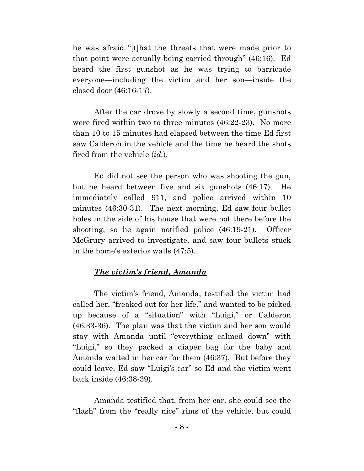he was afraid "[t]hat the threats that were made prior to that point were actually being carried through" (46:16). Ed heard the first gunshot as he was trying to barricade everyone—including the victim and her son—inside the closed door (46:16-17).

After the car drove by slowly a second time, gunshots were fired within two to three minutes (46:22-23). No more than 10 to 15 minutes had elapsed between the time Ed first saw Calderon in the vehicle and the time he heard the shots fired from the vehicle (*id.*).

Ed did not see the person who was shooting the gun, but he heard between five and six gunshots (46:17). He immediately called 911, and police arrived within 10 minutes (46:30-31). The next morning, Ed saw four bullet holes in the side of his house that were not there before the shooting, so he again notified police (46:19-21). Officer McGrury arrived to investigate, and saw four bullets stuck in the home's exterior walls (47:5).

#### *The victim's friend, Amanda*

<span id="page-13-0"></span>The victim's friend, Amanda, testified the victim had called her, "freaked out for her life," and wanted to be picked up because of a "situation" with "Luigi," or Calderon (46:33-36). The plan was that the victim and her son would stay with Amanda until "everything calmed down" with "Luigi," so they packed a diaper bag for the baby and Amanda waited in her car for them (46:37). But before they could leave, Ed saw "Luigi's car" so Ed and the victim went back inside (46:38-39).

Amanda testified that, from her car, she could see the "flash" from the "really nice" rims of the vehicle, but could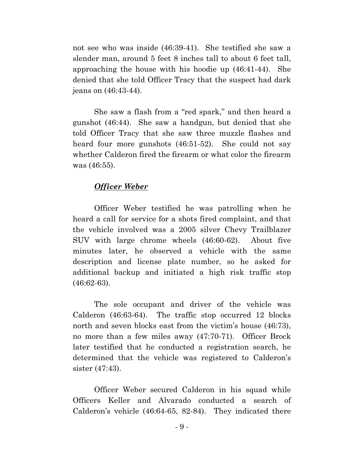not see who was inside (46:39-41). She testified she saw a slender man, around 5 feet 8 inches tall to about 6 feet tall, approaching the house with his hoodie up (46:41-44). She denied that she told Officer Tracy that the suspect had dark jeans on (46:43-44).

She saw a flash from a "red spark," and then heard a gunshot (46:44). She saw a handgun, but denied that she told Officer Tracy that she saw three muzzle flashes and heard four more gunshots (46:51-52). She could not say whether Calderon fired the firearm or what color the firearm was (46:55).

## *Officer Weber*

Officer Weber testified he was patrolling when he heard a call for service for a shots fired complaint, and that the vehicle involved was a 2005 silver Chevy Trailblazer SUV with large chrome wheels (46:60-62). About five minutes later, he observed a vehicle with the same description and license plate number, so he asked for additional backup and initiated a high risk traffic stop (46:62-63).

The sole occupant and driver of the vehicle was Calderon (46:63-64). The traffic stop occurred 12 blocks north and seven blocks east from the victim's house (46:73), no more than a few miles away (47:70-71). Officer Brock later testified that he conducted a registration search, he determined that the vehicle was registered to Calderon's sister (47:43).

Officer Weber secured Calderon in his squad while Officers Keller and Alvarado conducted a search of Calderon's vehicle (46:64-65, 82-84). They indicated there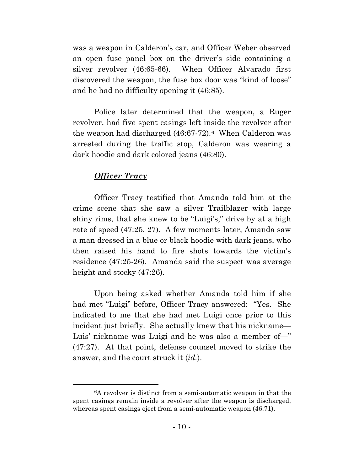was a weapon in Calderon's car, and Officer Weber observed an open fuse panel box on the driver's side containing a silver revolver (46:65-66). When Officer Alvarado first discovered the weapon, the fuse box door was "kind of loose" and he had no difficulty opening it (46:85).

Police later determined that the weapon, a Ruger revolver, had five spent casings left inside the revolver after the weapon had discharged  $(46:67-72)$  $(46:67-72)$  $(46:67-72)$ .<sup>6</sup> When Calderon was arrested during the traffic stop, Calderon was wearing a dark hoodie and dark colored jeans (46:80).

## *Officer Tracy*

Officer Tracy testified that Amanda told him at the crime scene that she saw a silver Trailblazer with large shiny rims, that she knew to be "Luigi's," drive by at a high rate of speed (47:25, 27). A few moments later, Amanda saw a man dressed in a blue or black hoodie with dark jeans, who then raised his hand to fire shots towards the victim's residence (47:25-26). Amanda said the suspect was average height and stocky  $(47:26)$ .

Upon being asked whether Amanda told him if she had met "Luigi" before, Officer Tracy answered: "Yes. She indicated to me that she had met Luigi once prior to this incident just briefly. She actually knew that his nickname— Luis' nickname was Luigi and he was also a member of—" (47:27). At that point, defense counsel moved to strike the answer, and the court struck it (*id.*).

 <sup>6</sup>A revolver is distinct from a semi-automatic weapon in that the spent casings remain inside a revolver after the weapon is discharged, whereas spent casings eject from a semi-automatic weapon (46:71).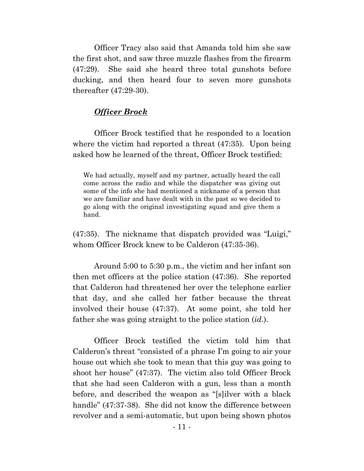Officer Tracy also said that Amanda told him she saw the first shot, and saw three muzzle flashes from the firearm (47:29). She said she heard three total gunshots before ducking, and then heard four to seven more gunshots thereafter (47:29-30).

#### *Officer Brock*

Officer Brock testified that he responded to a location where the victim had reported a threat (47:35). Upon being asked how he learned of the threat, Officer Brock testified:

We had actually, myself and my partner, actually heard the call come across the radio and while the dispatcher was giving out some of the info she had mentioned a nickname of a person that we are familiar and have dealt with in the past so we decided to go along with the original investigating squad and give them a hand.

(47:35). The nickname that dispatch provided was "Luigi," whom Officer Brock knew to be Calderon (47:35-36).

Around 5:00 to 5:30 p.m., the victim and her infant son then met officers at the police station (47:36). She reported that Calderon had threatened her over the telephone earlier that day, and she called her father because the threat involved their house (47:37). At some point, she told her father she was going straight to the police station (*id.*).

<span id="page-16-0"></span>Officer Brock testified the victim told him that Calderon's threat "consisted of a phrase I'm going to air your house out which she took to mean that this guy was going to shoot her house" (47:37). The victim also told Officer Brock that she had seen Calderon with a gun, less than a month before, and described the weapon as "[s]ilver with a black handle" (47:37-38). She did not know the difference between revolver and a semi-automatic, but upon being shown photos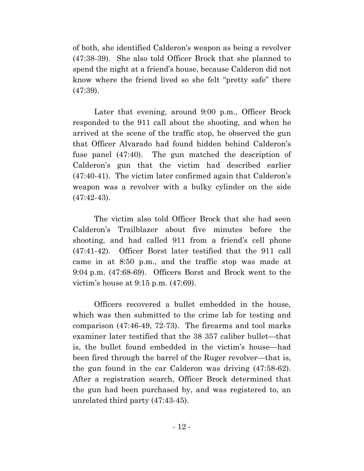of both, she identified Calderon's weapon as being a revolver (47:38-39). She also told Officer Brock that she planned to spend the night at a friend's house, because Calderon did not know where the friend lived so she felt "pretty safe" there (47:39).

Later that evening, around 9:00 p.m., Officer Brock responded to the 911 call about the shooting, and when he arrived at the scene of the traffic stop, he observed the gun that Officer Alvarado had found hidden behind Calderon's fuse panel (47:40). The gun matched the description of Calderon's gun that the victim had described earlier (47:40-41). The victim later confirmed again that Calderon's weapon was a revolver with a bulky cylinder on the side  $(47:42-43).$ 

The victim also told Officer Brock that she had seen Calderon's Trailblazer about five minutes before the shooting, and had called 911 from a friend's cell phone (47:41-42). Officer Borst later testified that the 911 call came in at 8:50 p.m., and the traffic stop was made at 9:04 p.m. (47:68-69). Officers Borst and Brock went to the victim's house at 9:15 p.m. (47:69).

Officers recovered a bullet embedded in the house, which was then submitted to the crime lab for testing and comparison (47:46-49, 72-73). The firearms and tool marks examiner later testified that the 38 357 caliber bullet—that is, the bullet found embedded in the victim's house—had been fired through the barrel of the Ruger revolver—that is, the gun found in the car Calderon was driving (47:58-62). After a registration search, Officer Brock determined that the gun had been purchased by, and was registered to, an unrelated third party (47:43-45).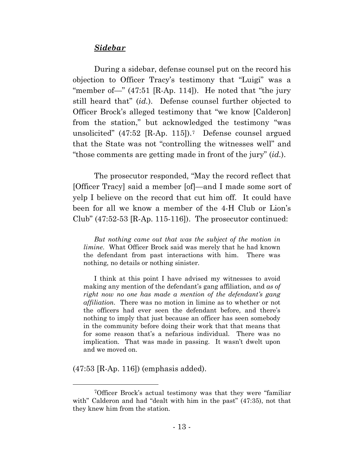#### *Sidebar*

During a sidebar, defense counsel put on the record his objection to Officer Tracy's testimony that "Luigi" was a "member of—"  $(47.51 \text{ [R-Ap. 114]})$ . He noted that "the jury still heard that" (*id.*). Defense counsel further objected to Officer Brock's alleged testimony that "we know [Calderon] from the station," but acknowledged the testimony "was unsolicited" (47:52 [R-Ap. 115]).[7](#page-19-0) Defense counsel argued that the State was not "controlling the witnesses well" and "those comments are getting made in front of the jury" (*id.*).

The prosecutor responded, "May the record reflect that [Officer Tracy] said a member [of]—and I made some sort of yelp I believe on the record that cut him off. It could have been for all we know a member of the 4-H Club or Lion's Club"  $(47:52-53$  [R-Ap. 115-116]). The prosecutor continued:

*But nothing came out that was the subject of the motion in limine*. What Officer Brock said was merely that he had known the defendant from past interactions with him. There was nothing, no details or nothing sinister.

I think at this point I have advised my witnesses to avoid making any mention of the defendant's gang affiliation, and *as of right now no one has made a mention of the defendant's gang affiliation*. There was no motion in limine as to whether or not the officers had ever seen the defendant before, and there's nothing to imply that just because an officer has seen somebody in the community before doing their work that that means that for some reason that's a nefarious individual. There was no implication. That was made in passing. It wasn't dwelt upon and we moved on.

(47:53 [R-Ap. 116]) (emphasis added).

 <sup>7</sup>Officer Brock's actual testimony was that they were "familiar with" Calderon and had "dealt with him in the past" (47:35), not that they knew him from the station.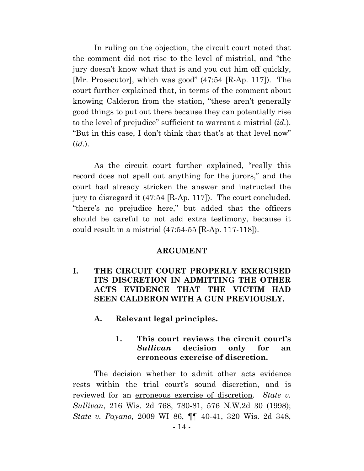In ruling on the objection, the circuit court noted that the comment did not rise to the level of mistrial, and "the jury doesn't know what that is and you cut him off quickly, [Mr. Prosecutor], which was good" (47:54 [R-Ap. 117]). The court further explained that, in terms of the comment about knowing Calderon from the station, "these aren't generally good things to put out there because they can potentially rise to the level of prejudice" sufficient to warrant a mistrial (*id.*). "But in this case, I don't think that that's at that level now" (*id.*).

As the circuit court further explained, "really this record does not spell out anything for the jurors," and the court had already stricken the answer and instructed the jury to disregard it (47:54 [R-Ap. 117]). The court concluded, "there's no prejudice here," but added that the officers should be careful to not add extra testimony, because it could result in a mistrial (47:54-55 [R-Ap. 117-118]).

#### **ARGUMENT**

## **I. THE CIRCUIT COURT PROPERLY EXERCISED ITS DISCRETION IN ADMITTING THE OTHER ACTS EVIDENCE THAT THE VICTIM HAD SEEN CALDERON WITH A GUN PREVIOUSLY.**

**A. Relevant legal principles.**

### **1. This court reviews the circuit court's**  *Sullivan* **decision only for an erroneous exercise of discretion.**

<span id="page-19-0"></span>The decision whether to admit other acts evidence rests within the trial court's sound discretion, and is reviewed for an erroneous exercise of discretion. *State v. Sullivan*, 216 Wis. 2d 768, 780-81, 576 N.W.2d 30 (1998); *State v. Payano*, 2009 WI 86, ¶¶ 40-41, 320 Wis. 2d 348,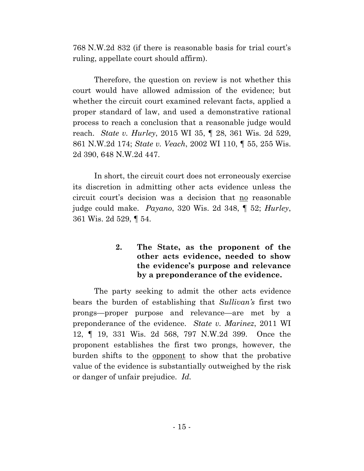768 N.W.2d 832 (if there is reasonable basis for trial court's ruling, appellate court should affirm).

Therefore, the question on review is not whether this court would have allowed admission of the evidence; but whether the circuit court examined relevant facts, applied a proper standard of law, and used a demonstrative rational process to reach a conclusion that a reasonable judge would reach. *State v. Hurley*, 2015 WI 35, ¶ 28, 361 Wis. 2d 529, 861 N.W.2d 174; *State v. Veach*, 2002 WI 110, ¶ 55, 255 Wis. 2d 390, 648 N.W.2d 447.

In short, the circuit court does not erroneously exercise its discretion in admitting other acts evidence unless the circuit court's decision was a decision that no reasonable judge could make. *Payano*, 320 Wis. 2d 348, ¶ 52; *Hurley*, 361 Wis. 2d 529, ¶ 54.

# **2. The State, as the proponent of the other acts evidence, needed to show the evidence's purpose and relevance by a preponderance of the evidence.**

The party seeking to admit the other acts evidence bears the burden of establishing that *Sullivan's* first two prongs—proper purpose and relevance—are met by a preponderance of the evidence. *State v. Marinez*, 2011 WI 12, ¶ 19, 331 Wis. 2d 568, 797 N.W.2d 399. Once the proponent establishes the first two prongs, however, the burden shifts to the <u>opponent</u> to show that the probative value of the evidence is substantially outweighed by the risk or danger of unfair prejudice. *Id.*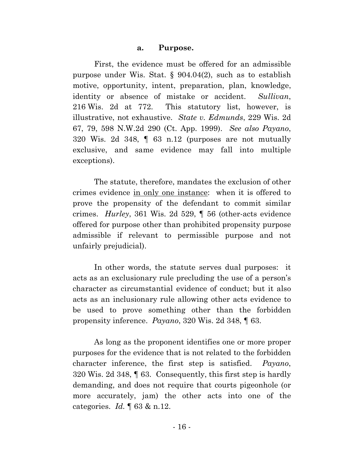#### **a. Purpose.**

First, the evidence must be offered for an admissible purpose under Wis. Stat. § 904.04(2), such as to establish motive, opportunity, intent, preparation, plan, knowledge, identity or absence of mistake or accident. *Sullivan*, 216 Wis. 2d at 772. This statutory list, however, is illustrative, not exhaustive. *State v. Edmunds*, 229 Wis. 2d 67, 79, 598 N.W.2d 290 (Ct. App. 1999). *See also Payano*, 320 Wis. 2d 348, ¶ 63 n.12 (purposes are not mutually exclusive, and same evidence may fall into multiple exceptions).

The statute, therefore, mandates the exclusion of other crimes evidence in only one instance: when it is offered to prove the propensity of the defendant to commit similar crimes. *Hurley*, 361 Wis. 2d 529, ¶ 56 (other-acts evidence offered for purpose other than prohibited propensity purpose admissible if relevant to permissible purpose and not unfairly prejudicial).

In other words, the statute serves dual purposes: it acts as an exclusionary rule precluding the use of a person's character as circumstantial evidence of conduct; but it also acts as an inclusionary rule allowing other acts evidence to be used to prove something other than the forbidden propensity inference. *Payano*, 320 Wis. 2d 348, ¶ 63.

As long as the proponent identifies one or more proper purposes for the evidence that is not related to the forbidden character inference, the first step is satisfied. *Payano*, 320 Wis. 2d 348, ¶ 63. Consequently, this first step is hardly demanding, and does not require that courts pigeonhole (or more accurately, jam) the other acts into one of the categories. *Id.* ¶ 63 & n.12.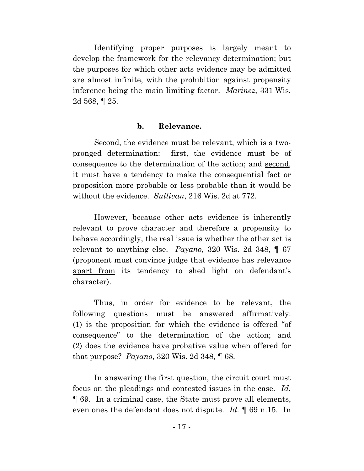Identifying proper purposes is largely meant to develop the framework for the relevancy determination; but the purposes for which other acts evidence may be admitted are almost infinite, with the prohibition against propensity inference being the main limiting factor. *Marinez*, 331 Wis. 2d 568, ¶ 25.

#### **b. Relevance.**

Second, the evidence must be relevant, which is a twopronged determination: first, the evidence must be of consequence to the determination of the action; and second, it must have a tendency to make the consequential fact or proposition more probable or less probable than it would be without the evidence. *Sullivan*, 216 Wis. 2d at 772.

However, because other acts evidence is inherently relevant to prove character and therefore a propensity to behave accordingly, the real issue is whether the other act is relevant to anything else. *Payano*, 320 Wis. 2d 348, ¶ 67 (proponent must convince judge that evidence has relevance apart from its tendency to shed light on defendant's character).

Thus, in order for evidence to be relevant, the following questions must be answered affirmatively: (1) is the proposition for which the evidence is offered "of consequence" to the determination of the action; and (2) does the evidence have probative value when offered for that purpose? *Payano*, 320 Wis. 2d 348, ¶ 68.

In answering the first question, the circuit court must focus on the pleadings and contested issues in the case. *Id.* ¶ 69. In a criminal case, the State must prove all elements, even ones the defendant does not dispute. *Id.* ¶ 69 n.15. In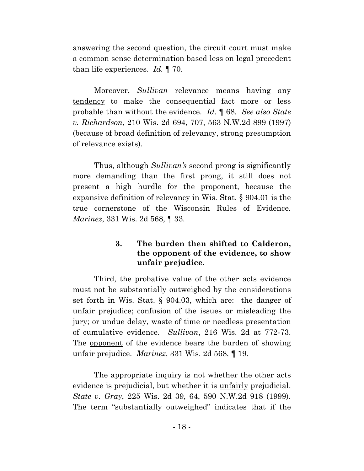answering the second question, the circuit court must make a common sense determination based less on legal precedent than life experiences. *Id.* ¶ 70.

Moreover, *Sullivan* relevance means having any tendency to make the consequential fact more or less probable than without the evidence. *Id.* ¶ 68. *See also State v. Richardson*, 210 Wis. 2d 694, 707, 563 N.W.2d 899 (1997) (because of broad definition of relevancy, strong presumption of relevance exists).

Thus, although *Sullivan's* second prong is significantly more demanding than the first prong, it still does not present a high hurdle for the proponent, because the expansive definition of relevancy in Wis. Stat. § 904.01 is the true cornerstone of the Wisconsin Rules of Evidence*. Marinez*, 331 Wis. 2d 568, ¶ 33.

# **3. The burden then shifted to Calderon, the opponent of the evidence, to show unfair prejudice.**

Third, the probative value of the other acts evidence must not be substantially outweighed by the considerations set forth in Wis. Stat. § 904.03, which are: the danger of unfair prejudice; confusion of the issues or misleading the jury; or undue delay, waste of time or needless presentation of cumulative evidence. *Sullivan*, 216 Wis. 2d at 772-73. The opponent of the evidence bears the burden of showing unfair prejudice. *Marinez*, 331 Wis. 2d 568, ¶ 19.

The appropriate inquiry is not whether the other acts evidence is prejudicial, but whether it is unfairly prejudicial. *State v. Gray*, 225 Wis. 2d 39, 64, 590 N.W.2d 918 (1999). The term "substantially outweighed" indicates that if the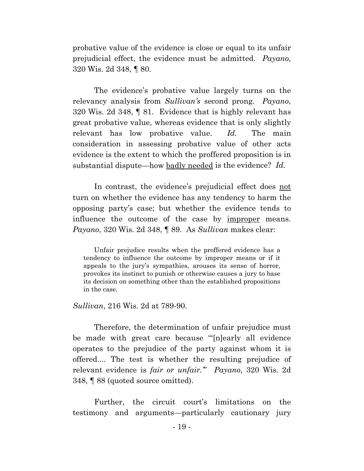probative value of the evidence is close or equal to its unfair prejudicial effect, the evidence must be admitted. *Payano*, 320 Wis. 2d 348, ¶ 80.

The evidence's probative value largely turns on the relevancy analysis from *Sullivan's* second prong. *Payano*, 320 Wis. 2d 348, ¶ 81. Evidence that is highly relevant has great probative value, whereas evidence that is only slightly relevant has low probative value. *Id.* The main consideration in assessing probative value of other acts evidence is the extent to which the proffered proposition is in substantial dispute—how badly needed is the evidence? *Id.*

In contrast, the evidence's prejudicial effect does not turn on whether the evidence has any tendency to harm the opposing party's case; but whether the evidence tends to influence the outcome of the case by improper means. *Payano*, 320 Wis. 2d 348, ¶ 89. As *Sullivan* makes clear:

Unfair prejudice results when the proffered evidence has a tendency to influence the outcome by improper means or if it appeals to the jury's sympathies, arouses its sense of horror, provokes its instinct to punish or otherwise causes a jury to base its decision on something other than the established propositions in the case.

*Sullivan*, 216 Wis. 2d at 789-90.

Therefore, the determination of unfair prejudice must be made with great care because "'[n]early all evidence operates to the prejudice of the party against whom it is offered.... The test is whether the resulting prejudice of relevant evidence is *fair or unfair.'*" *Payano*, 320 Wis. 2d 348, ¶ 88 (quoted source omitted).

Further, the circuit court's limitations on the testimony and arguments—particularly cautionary jury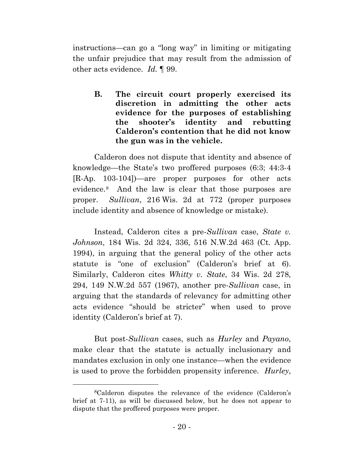instructions—can go a "long way" in limiting or mitigating the unfair prejudice that may result from the admission of other acts evidence. *Id.* ¶ 99.

**B. The circuit court properly exercised its discretion in admitting the other acts evidence for the purposes of establishing the shooter's identity and rebutting Calderon's contention that he did not know the gun was in the vehicle.**

Calderon does not dispute that identity and absence of knowledge—the State's two proffered purposes (6:3; 44:3-4 [R-Ap. 103-104])—are proper purposes for other acts evidence.[8](#page-29-0) And the law is clear that those purposes are proper. *Sullivan*, 216 Wis. 2d at 772 (proper purposes include identity and absence of knowledge or mistake).

Instead, Calderon cites a pre-*Sullivan* case, *State v. Johnson*, 184 Wis. 2d 324, 336, 516 N.W.2d 463 (Ct. App. 1994), in arguing that the general policy of the other acts statute is "one of exclusion" (Calderon's brief at 6). Similarly, Calderon cites *Whitty v. State*, 34 Wis. 2d 278, 294, 149 N.W.2d 557 (1967), another pre-*Sullivan* case, in arguing that the standards of relevancy for admitting other acts evidence "should be stricter" when used to prove identity (Calderon's brief at 7).

But post-*Sullivan* cases, such as *Hurley* and *Payano*, make clear that the statute is actually inclusionary and mandates exclusion in only one instance—when the evidence is used to prove the forbidden propensity inference. *Hurley*,

 <sup>8</sup>Calderon disputes the relevance of the evidence (Calderon's brief at 7-11), as will be discussed below, but he does not appear to dispute that the proffered purposes were proper.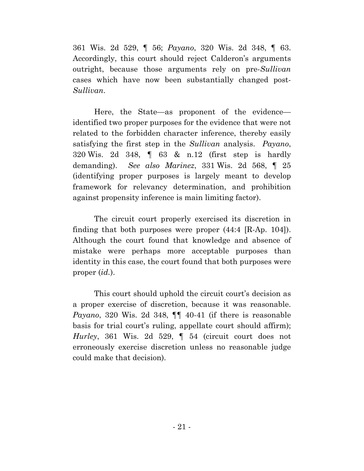361 Wis. 2d 529, ¶ 56; *Payano*, 320 Wis. 2d 348, ¶ 63. Accordingly, this court should reject Calderon's arguments outright, because those arguments rely on pre-*Sullivan* cases which have now been substantially changed post-*Sullivan*.

Here, the State—as proponent of the evidence identified two proper purposes for the evidence that were not related to the forbidden character inference, thereby easily satisfying the first step in the *Sullivan* analysis. *Payano*, 320 Wis. 2d 348, ¶ 63 & n.12 (first step is hardly demanding). *See also Marinez*, 331 Wis. 2d 568, ¶ 25 (identifying proper purposes is largely meant to develop framework for relevancy determination, and prohibition against propensity inference is main limiting factor).

The circuit court properly exercised its discretion in finding that both purposes were proper (44:4 [R-Ap. 104]). Although the court found that knowledge and absence of mistake were perhaps more acceptable purposes than identity in this case, the court found that both purposes were proper (*id.*).

This court should uphold the circuit court's decision as a proper exercise of discretion, because it was reasonable. *Payano*, 320 Wis. 2d 348, ¶¶ 40-41 (if there is reasonable basis for trial court's ruling, appellate court should affirm); *Hurley*, 361 Wis. 2d 529, ¶ 54 (circuit court does not erroneously exercise discretion unless no reasonable judge could make that decision).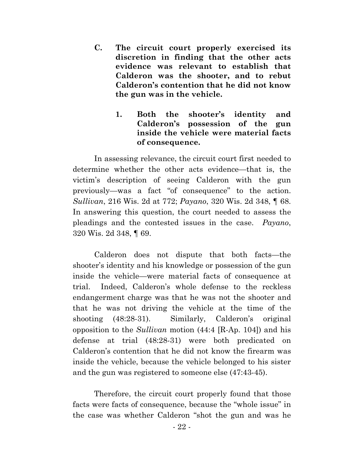- **C. The circuit court properly exercised its discretion in finding that the other acts evidence was relevant to establish that Calderon was the shooter, and to rebut Calderon's contention that he did not know the gun was in the vehicle.**
	- **1. Both the shooter's identity and Calderon's possession of the gun inside the vehicle were material facts of consequence.**

In assessing relevance, the circuit court first needed to determine whether the other acts evidence—that is, the victim's description of seeing Calderon with the gun previously—was a fact "of consequence" to the action. *Sullivan*, 216 Wis. 2d at 772; *Payano*, 320 Wis. 2d 348, ¶ 68. In answering this question, the court needed to assess the pleadings and the contested issues in the case. *Payano*, 320 Wis. 2d 348, ¶ 69.

Calderon does not dispute that both facts—the shooter's identity and his knowledge or possession of the gun inside the vehicle—were material facts of consequence at trial. Indeed, Calderon's whole defense to the reckless endangerment charge was that he was not the shooter and that he was not driving the vehicle at the time of the shooting (48:28-31). Similarly, Calderon's original opposition to the *Sullivan* motion (44:4 [R-Ap. 104]) and his defense at trial (48:28-31) were both predicated on Calderon's contention that he did not know the firearm was inside the vehicle, because the vehicle belonged to his sister and the gun was registered to someone else (47:43-45).

Therefore, the circuit court properly found that those facts were facts of consequence, because the "whole issue" in the case was whether Calderon "shot the gun and was he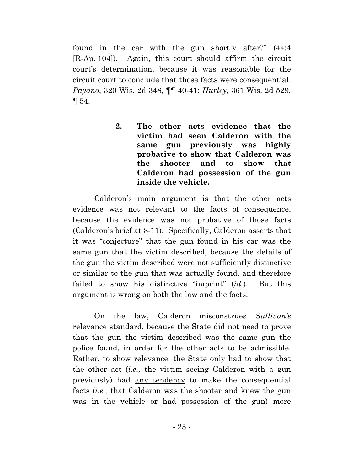found in the car with the gun shortly after?" (44:4 [R-Ap. 104]). Again, this court should affirm the circuit court's determination, because it was reasonable for the circuit court to conclude that those facts were consequential. *Payano*, 320 Wis. 2d 348, ¶¶ 40-41; *Hurley*, 361 Wis. 2d 529, ¶ 54.

> **2. The other acts evidence that the victim had seen Calderon with the same gun previously was highly probative to show that Calderon was the shooter and to show that Calderon had possession of the gun inside the vehicle.**

Calderon's main argument is that the other acts evidence was not relevant to the facts of consequence, because the evidence was not probative of those facts (Calderon's brief at 8-11). Specifically, Calderon asserts that it was "conjecture" that the gun found in his car was the same gun that the victim described, because the details of the gun the victim described were not sufficiently distinctive or similar to the gun that was actually found, and therefore failed to show his distinctive "imprint" (*id.*). But this argument is wrong on both the law and the facts.

On the law, Calderon misconstrues *Sullivan's* relevance standard, because the State did not need to prove that the gun the victim described was the same gun the police found, in order for the other acts to be admissible. Rather, to show relevance, the State only had to show that the other act (*i.e.,* the victim seeing Calderon with a gun previously) had any tendency to make the consequential facts (*i.e.,* that Calderon was the shooter and knew the gun was in the vehicle or had possession of the gun) more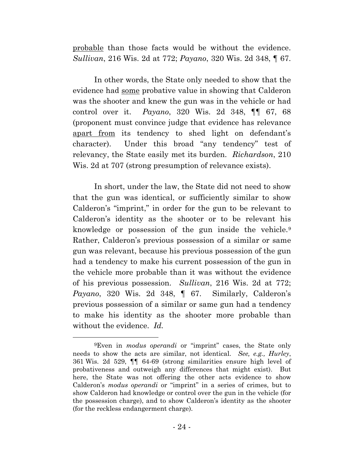probable than those facts would be without the evidence. *Sullivan*, 216 Wis. 2d at 772; *Payano*, 320 Wis. 2d 348, ¶ 67.

In other words, the State only needed to show that the evidence had some probative value in showing that Calderon was the shooter and knew the gun was in the vehicle or had control over it. *Payano*, 320 Wis. 2d 348, ¶¶ 67, 68 (proponent must convince judge that evidence has relevance apart from its tendency to shed light on defendant's character). Under this broad "any tendency" test of relevancy, the State easily met its burden. *Richardson*, 210 Wis. 2d at 707 (strong presumption of relevance exists).

In short, under the law, the State did not need to show that the gun was identical, or sufficiently similar to show Calderon's "imprint," in order for the gun to be relevant to Calderon's identity as the shooter or to be relevant his knowledge or possession of the gun inside the vehicle.<sup>9</sup> Rather, Calderon's previous possession of a similar or same gun was relevant, because his previous possession of the gun had a tendency to make his current possession of the gun in the vehicle more probable than it was without the evidence of his previous possession. *Sullivan*, 216 Wis. 2d at 772; *Payano*, 320 Wis. 2d 348, ¶ 67. Similarly, Calderon's previous possession of a similar or same gun had a tendency to make his identity as the shooter more probable than without the evidence. *Id.*

<span id="page-29-0"></span> <sup>9</sup>Even in *modus operandi* or "imprint" cases, the State only needs to show the acts are similar, not identical. *See, e.g., Hurley*, 361 Wis. 2d 529, ¶¶ 64-69 (strong similarities ensure high level of probativeness and outweigh any differences that might exist). But here, the State was not offering the other acts evidence to show Calderon's *modus operandi* or "imprint" in a series of crimes, but to show Calderon had knowledge or control over the gun in the vehicle (for the possession charge), and to show Calderon's identity as the shooter (for the reckless endangerment charge).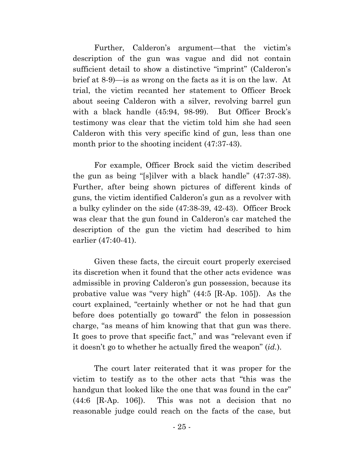Further, Calderon's argument—that the victim's description of the gun was vague and did not contain sufficient detail to show a distinctive "imprint" (Calderon's brief at 8-9)—is as wrong on the facts as it is on the law. At trial, the victim recanted her statement to Officer Brock about seeing Calderon with a silver, revolving barrel gun with a black handle (45:94, 98-99). But Officer Brock's testimony was clear that the victim told him she had seen Calderon with this very specific kind of gun, less than one month prior to the shooting incident (47:37-43).

For example, Officer Brock said the victim described the gun as being "[s]ilver with a black handle" (47:37-38). Further, after being shown pictures of different kinds of guns, the victim identified Calderon's gun as a revolver with a bulky cylinder on the side (47:38-39, 42-43). Officer Brock was clear that the gun found in Calderon's car matched the description of the gun the victim had described to him earlier (47:40-41).

Given these facts, the circuit court properly exercised its discretion when it found that the other acts evidence was admissible in proving Calderon's gun possession, because its probative value was "very high" (44:5 [R-Ap. 105]). As the court explained, "certainly whether or not he had that gun before does potentially go toward" the felon in possession charge, "as means of him knowing that that gun was there. It goes to prove that specific fact," and was "relevant even if it doesn't go to whether he actually fired the weapon" (*id.*).

The court later reiterated that it was proper for the victim to testify as to the other acts that "this was the handgun that looked like the one that was found in the car" (44:6 [R-Ap. 106]). This was not a decision that no reasonable judge could reach on the facts of the case, but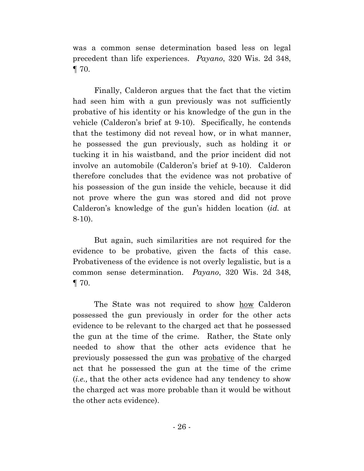was a common sense determination based less on legal precedent than life experiences. *Payano*, 320 Wis. 2d 348, ¶ 70.

Finally, Calderon argues that the fact that the victim had seen him with a gun previously was not sufficiently probative of his identity or his knowledge of the gun in the vehicle (Calderon's brief at 9-10). Specifically, he contends that the testimony did not reveal how, or in what manner, he possessed the gun previously, such as holding it or tucking it in his waistband, and the prior incident did not involve an automobile (Calderon's brief at 9-10). Calderon therefore concludes that the evidence was not probative of his possession of the gun inside the vehicle, because it did not prove where the gun was stored and did not prove Calderon's knowledge of the gun's hidden location (*id.* at 8-10).

But again, such similarities are not required for the evidence to be probative, given the facts of this case. Probativeness of the evidence is not overly legalistic, but is a common sense determination. *Payano*, 320 Wis. 2d 348, ¶ 70.

The State was not required to show how Calderon possessed the gun previously in order for the other acts evidence to be relevant to the charged act that he possessed the gun at the time of the crime. Rather, the State only needed to show that the other acts evidence that he previously possessed the gun was probative of the charged act that he possessed the gun at the time of the crime (*i.e.,* that the other acts evidence had any tendency to show the charged act was more probable than it would be without the other acts evidence).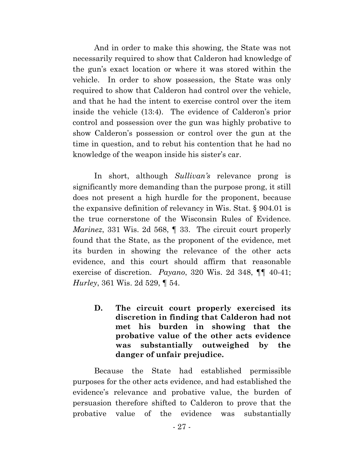And in order to make this showing, the State was not necessarily required to show that Calderon had knowledge of the gun's exact location or where it was stored within the vehicle. In order to show possession, the State was only required to show that Calderon had control over the vehicle, and that he had the intent to exercise control over the item inside the vehicle (13:4). The evidence of Calderon's prior control and possession over the gun was highly probative to show Calderon's possession or control over the gun at the time in question, and to rebut his contention that he had no knowledge of the weapon inside his sister's car.

In short, although *Sullivan's* relevance prong is significantly more demanding than the purpose prong, it still does not present a high hurdle for the proponent, because the expansive definition of relevancy in Wis. Stat. § 904.01 is the true cornerstone of the Wisconsin Rules of Evidence*. Marinez*, 331 Wis. 2d 568, ¶ 33. The circuit court properly found that the State, as the proponent of the evidence, met its burden in showing the relevance of the other acts evidence, and this court should affirm that reasonable exercise of discretion. *Payano*, 320 Wis. 2d 348, ¶¶ 40-41; *Hurley*, 361 Wis. 2d 529, ¶ 54.

**D. The circuit court properly exercised its discretion in finding that Calderon had not met his burden in showing that the probative value of the other acts evidence was substantially outweighed by the danger of unfair prejudice.**

Because the State had established permissible purposes for the other acts evidence, and had established the evidence's relevance and probative value, the burden of persuasion therefore shifted to Calderon to prove that the probative value of the evidence was substantially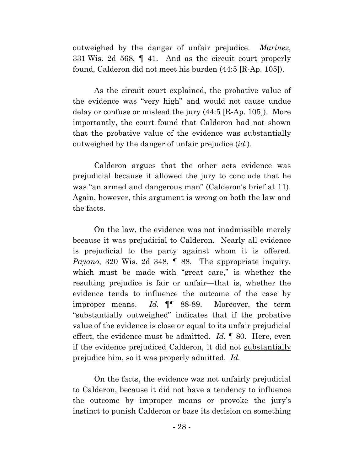outweighed by the danger of unfair prejudice. *Marinez*, 331 Wis. 2d 568, ¶ 41. And as the circuit court properly found, Calderon did not meet his burden (44:5 [R-Ap. 105]).

As the circuit court explained, the probative value of the evidence was "very high" and would not cause undue delay or confuse or mislead the jury (44:5 [R-Ap. 105]). More importantly, the court found that Calderon had not shown that the probative value of the evidence was substantially outweighed by the danger of unfair prejudice (*id.*).

Calderon argues that the other acts evidence was prejudicial because it allowed the jury to conclude that he was "an armed and dangerous man" (Calderon's brief at 11). Again, however, this argument is wrong on both the law and the facts.

On the law, the evidence was not inadmissible merely because it was prejudicial to Calderon. Nearly all evidence is prejudicial to the party against whom it is offered. *Payano*, 320 Wis. 2d 348, ¶ 88. The appropriate inquiry, which must be made with "great care," is whether the resulting prejudice is fair or unfair—that is, whether the evidence tends to influence the outcome of the case by improper means. *Id.* ¶¶ 88-89. Moreover, the term "substantially outweighed" indicates that if the probative value of the evidence is close or equal to its unfair prejudicial effect, the evidence must be admitted. *Id.* ¶ 80. Here, even if the evidence prejudiced Calderon, it did not substantially prejudice him, so it was properly admitted. *Id.*

On the facts, the evidence was not unfairly prejudicial to Calderon, because it did not have a tendency to influence the outcome by improper means or provoke the jury's instinct to punish Calderon or base its decision on something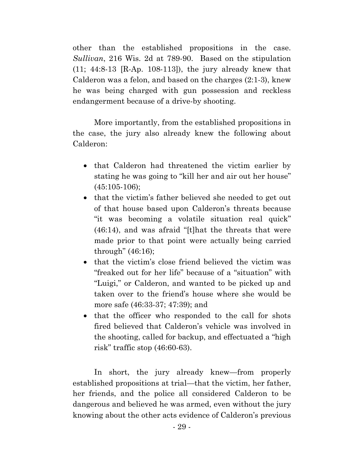other than the established propositions in the case. *Sullivan*, 216 Wis. 2d at 789-90. Based on the stipulation (11; 44:8-13 [R-Ap. 108-113]), the jury already knew that Calderon was a felon, and based on the charges (2:1-3), knew he was being charged with gun possession and reckless endangerment because of a drive-by shooting.

More importantly, from the established propositions in the case, the jury also already knew the following about Calderon:

- that Calderon had threatened the victim earlier by stating he was going to "kill her and air out her house" (45:105-106);
- that the victim's father believed she needed to get out of that house based upon Calderon's threats because "it was becoming a volatile situation real quick" (46:14), and was afraid "[t]hat the threats that were made prior to that point were actually being carried through" (46:16);
- that the victim's close friend believed the victim was "freaked out for her life" because of a "situation" with "Luigi," or Calderon, and wanted to be picked up and taken over to the friend's house where she would be more safe (46:33-37; 47:39); and
- that the officer who responded to the call for shots fired believed that Calderon's vehicle was involved in the shooting, called for backup, and effectuated a "high risk" traffic stop (46:60-63).

<span id="page-34-0"></span>In short, the jury already knew—from properly established propositions at trial—that the victim, her father, her friends, and the police all considered Calderon to be dangerous and believed he was armed, even without the jury knowing about the other acts evidence of Calderon's previous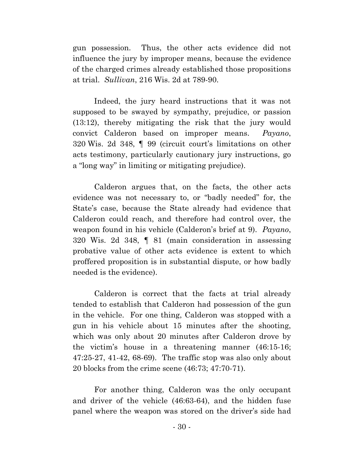gun possession. Thus, the other acts evidence did not influence the jury by improper means, because the evidence of the charged crimes already established those propositions at trial. *Sullivan*, 216 Wis. 2d at 789-90.

Indeed, the jury heard instructions that it was not supposed to be swayed by sympathy, prejudice, or passion (13:12), thereby mitigating the risk that the jury would convict Calderon based on improper means. *Payano*, 320 Wis. 2d 348, ¶ 99 (circuit court's limitations on other acts testimony, particularly cautionary jury instructions, go a "long way" in limiting or mitigating prejudice).

Calderon argues that, on the facts, the other acts evidence was not necessary to, or "badly needed" for, the State's case, because the State already had evidence that Calderon could reach, and therefore had control over, the weapon found in his vehicle (Calderon's brief at 9). *Payano*, 320 Wis. 2d 348, ¶ 81 (main consideration in assessing probative value of other acts evidence is extent to which proffered proposition is in substantial dispute, or how badly needed is the evidence).

Calderon is correct that the facts at trial already tended to establish that Calderon had possession of the gun in the vehicle. For one thing, Calderon was stopped with a gun in his vehicle about 15 minutes after the shooting, which was only about 20 minutes after Calderon drove by the victim's house in a threatening manner (46:15-16; 47:25-27, 41-42, 68-69). The traffic stop was also only about 20 blocks from the crime scene (46:73; 47:70-71).

For another thing, Calderon was the only occupant and driver of the vehicle (46:63-64), and the hidden fuse panel where the weapon was stored on the driver's side had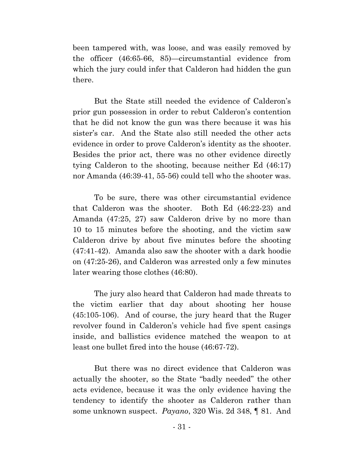been tampered with, was loose, and was easily removed by the officer (46:65-66, 85)—circumstantial evidence from which the jury could infer that Calderon had hidden the gun there.

But the State still needed the evidence of Calderon's prior gun possession in order to rebut Calderon's contention that he did not know the gun was there because it was his sister's car. And the State also still needed the other acts evidence in order to prove Calderon's identity as the shooter. Besides the prior act, there was no other evidence directly tying Calderon to the shooting, because neither Ed (46:17) nor Amanda (46:39-41, 55-56) could tell who the shooter was.

To be sure, there was other circumstantial evidence that Calderon was the shooter. Both Ed (46:22-23) and Amanda (47:25, 27) saw Calderon drive by no more than 10 to 15 minutes before the shooting, and the victim saw Calderon drive by about five minutes before the shooting (47:41-42). Amanda also saw the shooter with a dark hoodie on (47:25-26), and Calderon was arrested only a few minutes later wearing those clothes (46:80).

The jury also heard that Calderon had made threats to the victim earlier that day about shooting her house (45:105-106). And of course, the jury heard that the Ruger revolver found in Calderon's vehicle had five spent casings inside, and ballistics evidence matched the weapon to at least one bullet fired into the house (46:67-72).

But there was no direct evidence that Calderon was actually the shooter, so the State "badly needed" the other acts evidence, because it was the only evidence having the tendency to identify the shooter as Calderon rather than some unknown suspect. *Payano*, 320 Wis. 2d 348, ¶ 81. And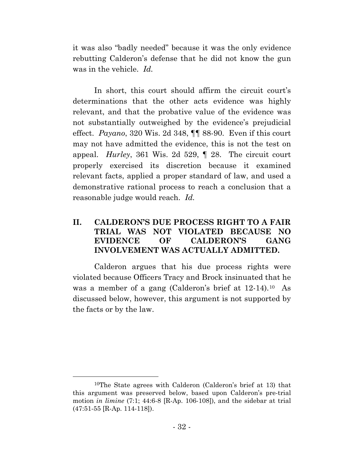it was also "badly needed" because it was the only evidence rebutting Calderon's defense that he did not know the gun was in the vehicle. *Id.*

In short, this court should affirm the circuit court's determinations that the other acts evidence was highly relevant, and that the probative value of the evidence was not substantially outweighed by the evidence's prejudicial effect. *Payano*, 320 Wis. 2d 348, ¶¶ 88-90. Even if this court may not have admitted the evidence, this is not the test on appeal. *Hurley*, 361 Wis. 2d 529, ¶ 28. The circuit court properly exercised its discretion because it examined relevant facts, applied a proper standard of law, and used a demonstrative rational process to reach a conclusion that a reasonable judge would reach. *Id.*

# **II. CALDERON'S DUE PROCESS RIGHT TO A FAIR TRIAL WAS NOT VIOLATED BECAUSE NO EVIDENCE OF CALDERON'S GANG INVOLVEMENT WAS ACTUALLY ADMITTED.**

Calderon argues that his due process rights were violated because Officers Tracy and Brock insinuated that he was a member of a gang (Calderon's brief at 12-14).[10](#page-44-0) As discussed below, however, this argument is not supported by the facts or by the law.

 <sup>10</sup>The State agrees with Calderon (Calderon's brief at 13) that this argument was preserved below, based upon Calderon's pre-trial motion *in limine* (7:1; 44:6-8 [R-Ap. 106-108]), and the sidebar at trial (47:51-55 [R-Ap. 114-118]).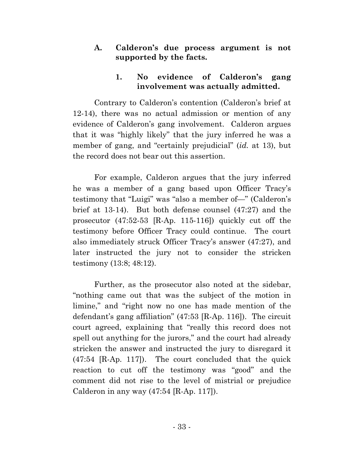**A. Calderon's due process argument is not supported by the facts.**

# **1. No evidence of Calderon's gang involvement was actually admitted.**

Contrary to Calderon's contention (Calderon's brief at 12-14), there was no actual admission or mention of any evidence of Calderon's gang involvement. Calderon argues that it was "highly likely" that the jury inferred he was a member of gang, and "certainly prejudicial" (*id.* at 13), but the record does not bear out this assertion.

For example, Calderon argues that the jury inferred he was a member of a gang based upon Officer Tracy's testimony that "Luigi" was "also a member of—" (Calderon's brief at 13-14). But both defense counsel (47:27) and the prosecutor (47:52-53 [R-Ap. 115-116]) quickly cut off the testimony before Officer Tracy could continue. The court also immediately struck Officer Tracy's answer (47:27), and later instructed the jury not to consider the stricken testimony (13:8; 48:12).

Further, as the prosecutor also noted at the sidebar, "nothing came out that was the subject of the motion in limine," and "right now no one has made mention of the defendant's gang affiliation" (47:53 [R-Ap. 116]). The circuit court agreed, explaining that "really this record does not spell out anything for the jurors," and the court had already stricken the answer and instructed the jury to disregard it (47:54 [R-Ap. 117]). The court concluded that the quick reaction to cut off the testimony was "good" and the comment did not rise to the level of mistrial or prejudice Calderon in any way  $(47.54 \text{ [R-Ap. 117]}).$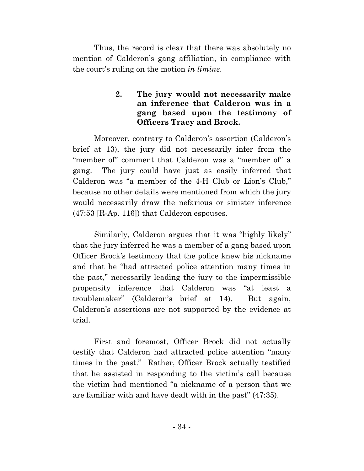Thus, the record is clear that there was absolutely no mention of Calderon's gang affiliation, in compliance with the court's ruling on the motion *in limine*.

# **2. The jury would not necessarily make an inference that Calderon was in a gang based upon the testimony of Officers Tracy and Brock.**

Moreover, contrary to Calderon's assertion (Calderon's brief at 13), the jury did not necessarily infer from the "member of" comment that Calderon was a "member of" a gang. The jury could have just as easily inferred that Calderon was "a member of the 4-H Club or Lion's Club," because no other details were mentioned from which the jury would necessarily draw the nefarious or sinister inference (47:53 [R-Ap. 116]) that Calderon espouses.

Similarly, Calderon argues that it was "highly likely" that the jury inferred he was a member of a gang based upon Officer Brock's testimony that the police knew his nickname and that he "had attracted police attention many times in the past," necessarily leading the jury to the impermissible propensity inference that Calderon was "at least a troublemaker" (Calderon's brief at 14). But again, Calderon's assertions are not supported by the evidence at trial.

First and foremost, Officer Brock did not actually testify that Calderon had attracted police attention "many times in the past." Rather, Officer Brock actually testified that he assisted in responding to the victim's call because the victim had mentioned "a nickname of a person that we are familiar with and have dealt with in the past" (47:35).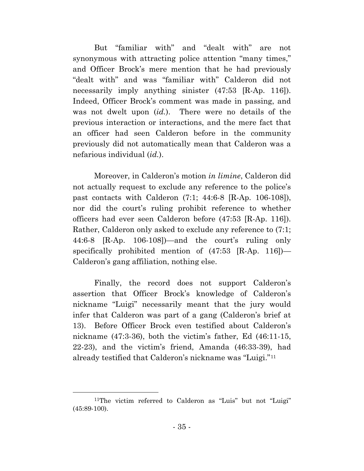But "familiar with" and "dealt with" are not synonymous with attracting police attention "many times," and Officer Brock's mere mention that he had previously "dealt with" and was "familiar with" Calderon did not necessarily imply anything sinister (47:53 [R-Ap. 116]). Indeed, Officer Brock's comment was made in passing, and was not dwelt upon (*id.*). There were no details of the previous interaction or interactions, and the mere fact that an officer had seen Calderon before in the community previously did not automatically mean that Calderon was a nefarious individual (*id.*).

Moreover, in Calderon's motion *in limine*, Calderon did not actually request to exclude any reference to the police's past contacts with Calderon (7:1; 44:6-8 [R-Ap. 106-108]), nor did the court's ruling prohibit reference to whether officers had ever seen Calderon before (47:53 [R-Ap. 116]). Rather, Calderon only asked to exclude any reference to (7:1; 44:6-8 [R-Ap. 106-108])—and the court's ruling only specifically prohibited mention of (47:53 [R-Ap. 116])— Calderon's gang affiliation, nothing else.

Finally, the record does not support Calderon's assertion that Officer Brock's knowledge of Calderon's nickname "Luigi" necessarily meant that the jury would infer that Calderon was part of a gang (Calderon's brief at 13). Before Officer Brock even testified about Calderon's nickname (47:3-36), both the victim's father, Ed (46:11-15, 22-23), and the victim's friend, Amanda (46:33-39), had already testified that Calderon's nickname was "Luigi."[11](#page-47-0)

 <sup>11</sup>The victim referred to Calderon as "Luis" but not "Luigi" (45:89-100).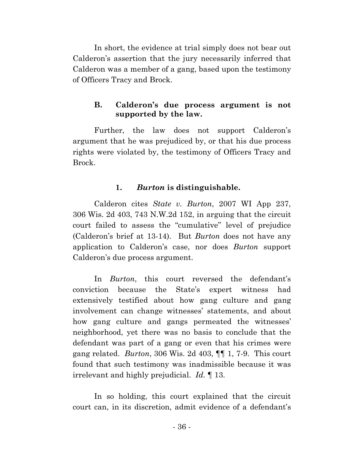In short, the evidence at trial simply does not bear out Calderon's assertion that the jury necessarily inferred that Calderon was a member of a gang, based upon the testimony of Officers Tracy and Brock.

# **B. Calderon's due process argument is not supported by the law.**

Further, the law does not support Calderon's argument that he was prejudiced by, or that his due process rights were violated by, the testimony of Officers Tracy and Brock.

# **1.** *Burton* **is distinguishable.**

Calderon cites *State v. Burton*, 2007 WI App 237, 306 Wis. 2d 403, 743 N.W.2d 152, in arguing that the circuit court failed to assess the "cumulative" level of prejudice (Calderon's brief at 13-14). But *Burton* does not have any application to Calderon's case, nor does *Burton* support Calderon's due process argument.

In *Burton*, this court reversed the defendant's conviction because the State's expert witness had extensively testified about how gang culture and gang involvement can change witnesses' statements, and about how gang culture and gangs permeated the witnesses' neighborhood, yet there was no basis to conclude that the defendant was part of a gang or even that his crimes were gang related. *Burton*, 306 Wis. 2d 403, ¶¶ 1, 7-9. This court found that such testimony was inadmissible because it was irrelevant and highly prejudicial. *Id.* ¶ 13.

In so holding, this court explained that the circuit court can, in its discretion, admit evidence of a defendant's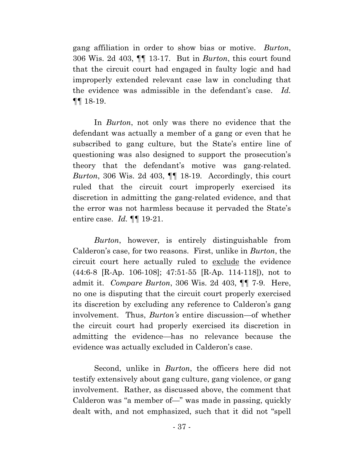gang affiliation in order to show bias or motive. *Burton*, 306 Wis. 2d 403, ¶¶ 13-17. But in *Burton*, this court found that the circuit court had engaged in faulty logic and had improperly extended relevant case law in concluding that the evidence was admissible in the defendant's case. *Id.* ¶¶ 18-19.

In *Burton*, not only was there no evidence that the defendant was actually a member of a gang or even that he subscribed to gang culture, but the State's entire line of questioning was also designed to support the prosecution's theory that the defendant's motive was gang-related. *Burton*, 306 Wis. 2d 403, ¶¶ 18-19. Accordingly, this court ruled that the circuit court improperly exercised its discretion in admitting the gang-related evidence, and that the error was not harmless because it pervaded the State's entire case. *Id.* ¶¶ 19-21.

*Burton*, however, is entirely distinguishable from Calderon's case, for two reasons. First, unlike in *Burton*, the circuit court here actually ruled to exclude the evidence (44:6-8 [R-Ap. 106-108]; 47:51-55 [R-Ap. 114-118]), not to admit it. *Compare Burton*, 306 Wis. 2d 403, ¶¶ 7-9. Here, no one is disputing that the circuit court properly exercised its discretion by excluding any reference to Calderon's gang involvement. Thus, *Burton's* entire discussion—of whether the circuit court had properly exercised its discretion in admitting the evidence—has no relevance because the evidence was actually excluded in Calderon's case.

Second, unlike in *Burton*, the officers here did not testify extensively about gang culture, gang violence, or gang involvement. Rather, as discussed above, the comment that Calderon was "a member of—" was made in passing, quickly dealt with, and not emphasized, such that it did not "spell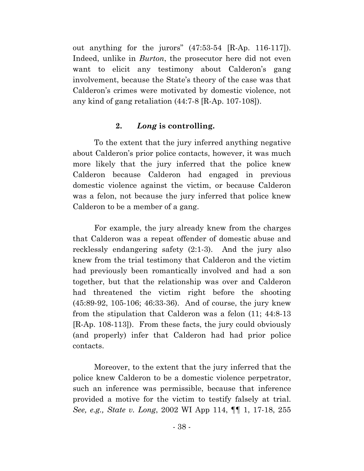out anything for the jurors" (47:53-54 [R-Ap. 116-117]). Indeed, unlike in *Burton*, the prosecutor here did not even want to elicit any testimony about Calderon's gang involvement, because the State's theory of the case was that Calderon's crimes were motivated by domestic violence, not any kind of gang retaliation (44:7-8 [R-Ap. 107-108]).

# **2.** *Long* **is controlling.**

To the extent that the jury inferred anything negative about Calderon's prior police contacts, however, it was much more likely that the jury inferred that the police knew Calderon because Calderon had engaged in previous domestic violence against the victim, or because Calderon was a felon, not because the jury inferred that police knew Calderon to be a member of a gang.

For example, the jury already knew from the charges that Calderon was a repeat offender of domestic abuse and recklessly endangering safety (2:1-3). And the jury also knew from the trial testimony that Calderon and the victim had previously been romantically involved and had a son together, but that the relationship was over and Calderon had threatened the victim right before the shooting (45:89-92, 105-106; 46:33-36). And of course, the jury knew from the stipulation that Calderon was a felon (11; 44:8-13 [R-Ap. 108-113]). From these facts, the jury could obviously (and properly) infer that Calderon had had prior police contacts.

Moreover, to the extent that the jury inferred that the police knew Calderon to be a domestic violence perpetrator, such an inference was permissible, because that inference provided a motive for the victim to testify falsely at trial. *See, e.g., State v. Long*, 2002 WI App 114, ¶¶ 1, 17-18, 255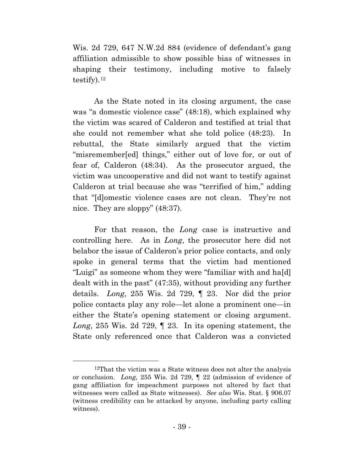Wis. 2d 729, 647 N.W.2d 884 (evidence of defendant's gang affiliation admissible to show possible bias of witnesses in shaping their testimony, including motive to falsely testify).[12](#page-51-0) 

As the State noted in its closing argument, the case was "a domestic violence case" (48:18), which explained why the victim was scared of Calderon and testified at trial that she could not remember what she told police (48:23). In rebuttal, the State similarly argued that the victim "misremember[ed] things," either out of love for, or out of fear of, Calderon (48:34). As the prosecutor argued, the victim was uncooperative and did not want to testify against Calderon at trial because she was "terrified of him," adding that "[d]omestic violence cases are not clean. They're not nice. They are sloppy" (48:37).

For that reason, the *Long* case is instructive and controlling here. As in *Long*, the prosecutor here did not belabor the issue of Calderon's prior police contacts, and only spoke in general terms that the victim had mentioned "Luigi" as someone whom they were "familiar with and ha[d] dealt with in the past" (47:35), without providing any further details. *Long*, 255 Wis. 2d 729, ¶ 23. Nor did the prior police contacts play any role—let alone a prominent one—in either the State's opening statement or closing argument. *Long*, 255 Wis. 2d 729, ¶ 23. In its opening statement, the State only referenced once that Calderon was a convicted

<span id="page-44-0"></span> <sup>12</sup>That the victim was a State witness does not alter the analysis or conclusion. *Long*, 255 Wis. 2d 729, ¶ 22 (admission of evidence of gang affiliation for impeachment purposes not altered by fact that witnesses were called as State witnesses). *See also* Wis. Stat. § 906.07 (witness credibility can be attacked by anyone, including party calling witness).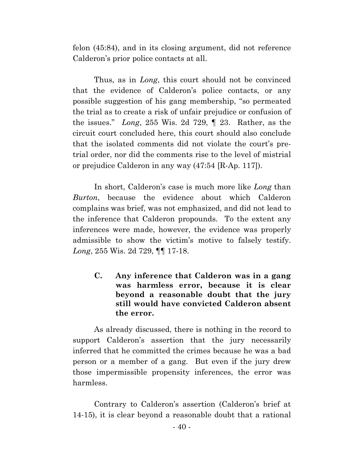felon (45:84), and in its closing argument, did not reference Calderon's prior police contacts at all.

Thus, as in *Long*, this court should not be convinced that the evidence of Calderon's police contacts, or any possible suggestion of his gang membership, "so permeated the trial as to create a risk of unfair prejudice or confusion of the issues." *Long*, 255 Wis. 2d 729, ¶ 23. Rather, as the circuit court concluded here, this court should also conclude that the isolated comments did not violate the court's pretrial order, nor did the comments rise to the level of mistrial or prejudice Calderon in any way (47:54 [R-Ap. 117]).

In short, Calderon's case is much more like *Long* than *Burton*, because the evidence about which Calderon complains was brief, was not emphasized, and did not lead to the inference that Calderon propounds. To the extent any inferences were made, however, the evidence was properly admissible to show the victim's motive to falsely testify. *Long*, 255 Wis. 2d 729, ¶¶ 17-18.

**C. Any inference that Calderon was in a gang was harmless error, because it is clear beyond a reasonable doubt that the jury still would have convicted Calderon absent the error.**

As already discussed, there is nothing in the record to support Calderon's assertion that the jury necessarily inferred that he committed the crimes because he was a bad person or a member of a gang. But even if the jury drew those impermissible propensity inferences, the error was harmless.

Contrary to Calderon's assertion (Calderon's brief at 14-15), it is clear beyond a reasonable doubt that a rational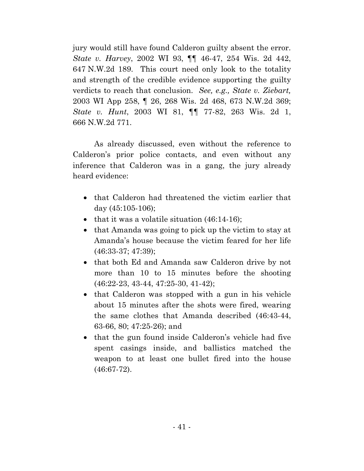jury would still have found Calderon guilty absent the error. *State v. Harvey*, 2002 WI 93, ¶¶ 46-47, 254 Wis. 2d 442, 647 N.W.2d 189. This court need only look to the totality and strength of the credible evidence supporting the guilty verdicts to reach that conclusion. *See, e.g., State v. Ziebart,*  2003 WI App 258, ¶ 26, 268 Wis. 2d 468, 673 N.W.2d 369; *State v. Hunt*, 2003 WI 81, ¶¶ 77-82, 263 Wis. 2d 1, 666 N.W.2d 771.

As already discussed, even without the reference to Calderon's prior police contacts, and even without any inference that Calderon was in a gang, the jury already heard evidence:

- that Calderon had threatened the victim earlier that day (45:105-106);
- that it was a volatile situation  $(46:14-16)$ ;
- that Amanda was going to pick up the victim to stay at Amanda's house because the victim feared for her life (46:33-37; 47:39);
- that both Ed and Amanda saw Calderon drive by not more than 10 to 15 minutes before the shooting (46:22-23, 43-44, 47:25-30, 41-42);
- that Calderon was stopped with a gun in his vehicle about 15 minutes after the shots were fired, wearing the same clothes that Amanda described (46:43-44, 63-66, 80; 47:25-26); and
- that the gun found inside Calderon's vehicle had five spent casings inside, and ballistics matched the weapon to at least one bullet fired into the house (46:67-72).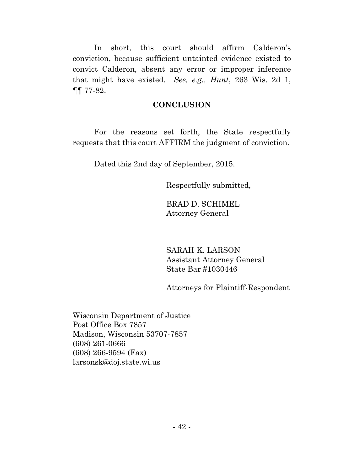In short, this court should affirm Calderon's conviction, because sufficient untainted evidence existed to convict Calderon, absent any error or improper inference that might have existed. *See, e.g., Hunt*, 263 Wis. 2d 1, ¶¶ 77-82.

### **CONCLUSION**

For the reasons set forth, the State respectfully requests that this court AFFIRM the judgment of conviction.

Dated this 2nd day of September, 2015.

Respectfully submitted,

BRAD D. SCHIMEL Attorney General

SARAH K. LARSON Assistant Attorney General State Bar #1030446

Attorneys for Plaintiff-Respondent

<span id="page-47-0"></span>Wisconsin Department of Justice Post Office Box 7857 Madison, Wisconsin 53707-7857 (608) 261-0666 (608) 266-9594 (Fax) larsonsk@doj.state.wi.us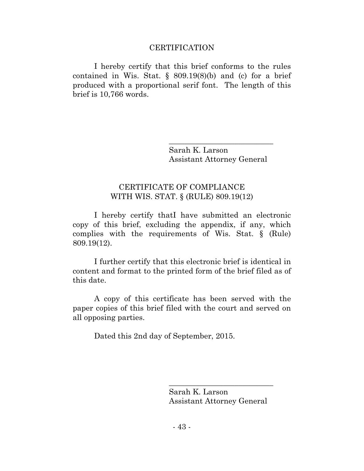#### CERTIFICATION

I hereby certify that this brief conforms to the rules contained in Wis. Stat.  $\S$  809.19(8)(b) and (c) for a brief produced with a proportional serif font. The length of this brief is 10,766 words.

> Sarah K. Larson Assistant Attorney General

\_\_\_\_\_\_\_\_\_\_\_\_\_\_\_\_\_\_\_\_\_\_\_\_\_\_\_

## CERTIFICATE OF COMPLIANCE WITH WIS. STAT. § (RULE) 809.19(12)

I hereby certify thatI have submitted an electronic copy of this brief, excluding the appendix, if any, which complies with the requirements of Wis. Stat. § (Rule) 809.19(12).

I further certify that this electronic brief is identical in content and format to the printed form of the brief filed as of this date.

A copy of this certificate has been served with the paper copies of this brief filed with the court and served on all opposing parties.

Dated this 2nd day of September, 2015.

Sarah K. Larson Assistant Attorney General

\_\_\_\_\_\_\_\_\_\_\_\_\_\_\_\_\_\_\_\_\_\_\_\_\_\_\_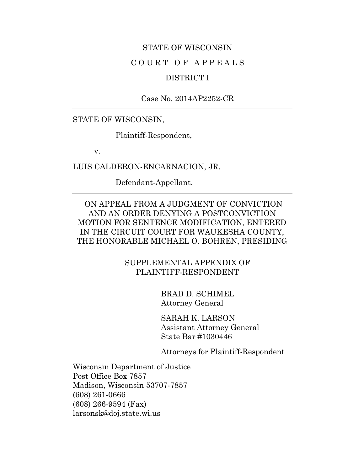#### STATE OF WISCONSIN

## C O U R T O F A P P E A L S

#### DISTRICT I

Case No. 2014AP2252-CR

STATE OF WISCONSIN,

Plaintiff-Respondent,

v.

LUIS CALDERON-ENCARNACION, JR.

Defendant-Appellant.

ON APPEAL FROM A JUDGMENT OF CONVICTION AND AN ORDER DENYING A POSTCONVICTION MOTION FOR SENTENCE MODIFICATION, ENTERED IN THE CIRCUIT COURT FOR WAUKESHA COUNTY, THE HONORABLE MICHAEL O. BOHREN, PRESIDING

### SUPPLEMENTAL APPENDIX OF PLAINTIFF-RESPONDENT

BRAD D. SCHIMEL Attorney General

SARAH K. LARSON Assistant Attorney General State Bar #1030446

Attorneys for Plaintiff-Respondent

Wisconsin Department of Justice Post Office Box 7857 Madison, Wisconsin 53707-7857 (608) 261-0666 (608) 266-9594 (Fax) larsonsk@doj.state.wi.us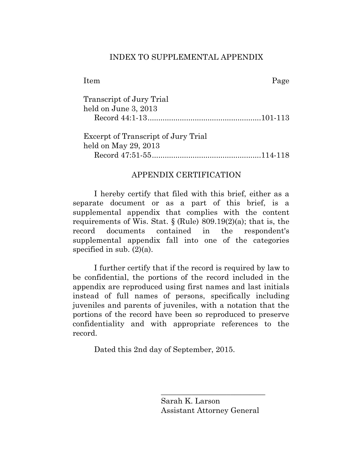## INDEX TO SUPPLEMENTAL APPENDIX

Item Page

| Transcript of Jury Trial |  |
|--------------------------|--|
| held on June 3, 2013     |  |
|                          |  |
|                          |  |

| Excerpt of Transcript of Jury Trial |  |
|-------------------------------------|--|
| held on May 29, 2013                |  |
|                                     |  |

### APPENDIX CERTIFICATION

I hereby certify that filed with this brief, either as a separate document or as a part of this brief, is a supplemental appendix that complies with the content requirements of Wis. Stat.  $\S$  (Rule) 809.19(2)(a); that is, the record documents contained in the respondent's supplemental appendix fall into one of the categories specified in sub.  $(2)(a)$ .

I further certify that if the record is required by law to be confidential, the portions of the record included in the appendix are reproduced using first names and last initials instead of full names of persons, specifically including juveniles and parents of juveniles, with a notation that the portions of the record have been so reproduced to preserve confidentiality and with appropriate references to the record.

Dated this 2nd day of September, 2015.

\_\_\_\_\_\_\_\_\_\_\_\_\_\_\_\_\_\_\_\_\_\_\_\_\_\_\_